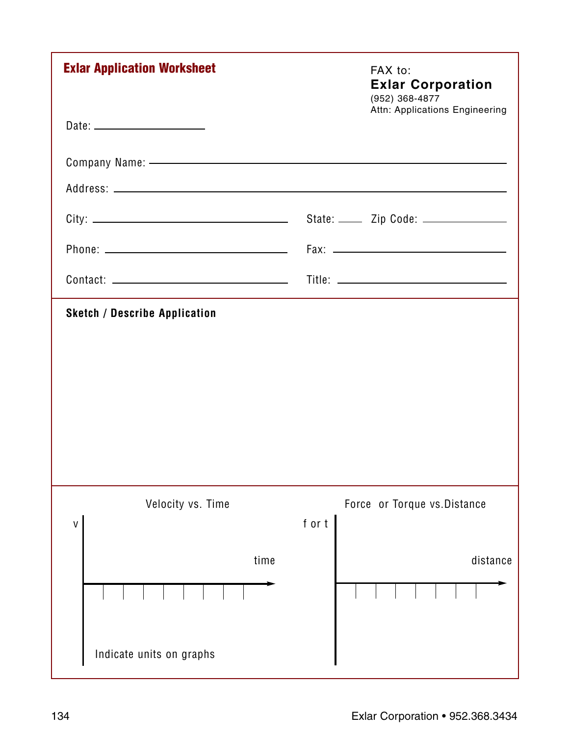| <b>Exlar Application Worksheet</b>                                                                                                                                                                                            | FAX to:<br><b>Exlar Corporation</b><br>(952) 368-4877<br>Attn: Applications Engineering |
|-------------------------------------------------------------------------------------------------------------------------------------------------------------------------------------------------------------------------------|-----------------------------------------------------------------------------------------|
|                                                                                                                                                                                                                               |                                                                                         |
| Company Name: - Company Name: - Company Name: - Company Name: - Company Name: - Company Name: - Company Name: - Company Name: - Company Name: - Company Name: - Company Name: - Company Name: - Company Name: - Company Name: |                                                                                         |
|                                                                                                                                                                                                                               |                                                                                         |
|                                                                                                                                                                                                                               | State: _____ Zip Code: _____________                                                    |
|                                                                                                                                                                                                                               |                                                                                         |
|                                                                                                                                                                                                                               |                                                                                         |
|                                                                                                                                                                                                                               |                                                                                         |
|                                                                                                                                                                                                                               |                                                                                         |
| Velocity vs. Time<br>۷                                                                                                                                                                                                        | Force or Torque vs. Distance<br>fort                                                    |